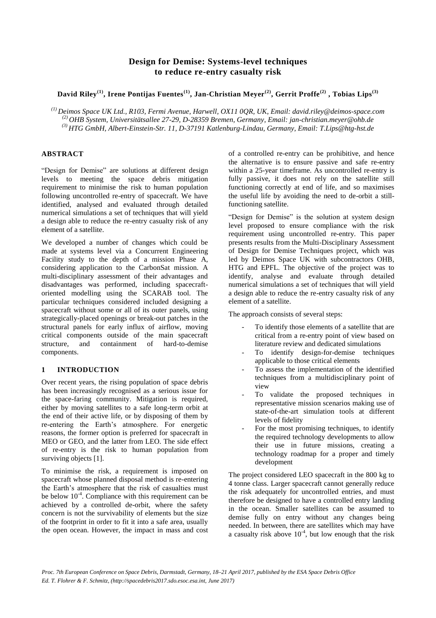# **Design for Demise: Systems-level techniques to reduce re-entry casualty risk**

**David Riley(1) , Irene Pontijas Fuentes(1) , Jan-Christian Meyer(2), Gerrit Proffe(2) , Tobias Lips(3)**

*(1) Deimos Space UK Ltd., R103, Fermi Avenue, Harwell, OX11 0QR, UK, Email: david.riley@deimos-space.com (2) OHB System, Universitätsallee 27-29, D-28359 Bremen, Germany, Email: jan-christian.meyer@ohb.de (3) HTG GmbH, Albert-Einstein-Str. 11, D-37191 Katlenburg-Lindau, Germany, Email: T.Lips@htg-hst.de*

## **ABSTRACT**

"Design for Demise" are solutions at different design levels to meeting the space debris mitigation requirement to minimise the risk to human population following uncontrolled re-entry of spacecraft. We have identified, analysed and evaluated through detailed numerical simulations a set of techniques that will yield a design able to reduce the re-entry casualty risk of any element of a satellite.

We developed a number of changes which could be made at systems level via a Concurrent Engineering Facility study to the depth of a mission Phase A, considering application to the CarbonSat mission. A multi-disciplinary assessment of their advantages and disadvantages was performed, including spacecraftoriented modelling using the SCARAB tool. The particular techniques considered included designing a spacecraft without some or all of its outer panels, using strategically-placed openings or break-out patches in the structural panels for early influx of airflow, moving critical components outside of the main spacecraft structure, and containment of hard-to-demise components.

## **1 INTRODUCTION**

Over recent years, the rising population of space debris has been increasingly recognised as a serious issue for the space-faring community. Mitigation is required, either by moving satellites to a safe long-term orbit at the end of their active life, or by disposing of them by re-entering the Earth's atmosphere. For energetic reasons, the former option is preferred for spacecraft in MEO or GEO, and the latter from LEO. The side effect of re-entry is the risk to human population from surviving objects [\[1\]](#page-5-0).

To minimise the risk, a requirement is imposed on spacecraft whose planned disposal method is re-entering the Earth's atmosphere that the risk of casualties must be below  $10^{-4}$ . Compliance with this requirement can be achieved by a controlled de-orbit, where the safety concern is not the survivability of elements but the size of the footprint in order to fit it into a safe area, usually the open ocean. However, the impact in mass and cost

of a controlled re-entry can be prohibitive, and hence the alternative is to ensure passive and safe re-entry within a 25-year timeframe. As uncontrolled re-entry is fully passive, it does not rely on the satellite still functioning correctly at end of life, and so maximises the useful life by avoiding the need to de-orbit a stillfunctioning satellite.

"Design for Demise" is the solution at system design level proposed to ensure compliance with the risk requirement using uncontrolled re-entry. This paper presents results from the Multi-Disciplinary Assessment of Design for Demise Techniques project, which was led by Deimos Space UK with subcontractors OHB, HTG and EPFL. The objective of the project was to identify, analyse and evaluate through detailed numerical simulations a set of techniques that will yield a design able to reduce the re-entry casualty risk of any element of a satellite.

The approach consists of several steps:

- To identify those elements of a satellite that are critical from a re-entry point of view based on literature review and dedicated simulations
- To identify design-for-demise techniques applicable to those critical elements
- To assess the implementation of the identified techniques from a multidisciplinary point of view
- To validate the proposed techniques in representative mission scenarios making use of state-of-the-art simulation tools at different levels of fidelity
- For the most promising techniques, to identify the required technology developments to allow their use in future missions, creating a technology roadmap for a proper and timely development

The project considered LEO spacecraft in the 800 kg to 4 tonne class. Larger spacecraft cannot generally reduce the risk adequately for uncontrolled entries, and must therefore be designed to have a controlled entry landing in the ocean. Smaller satellites can be assumed to demise fully on entry without any changes being needed. In between, there are satellites which may have a casualty risk above  $10^{-4}$ , but low enough that the risk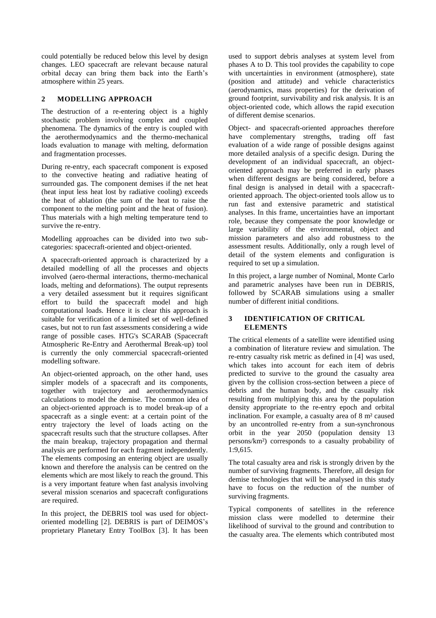could potentially be reduced below this level by design changes. LEO spacecraft are relevant because natural orbital decay can bring them back into the Earth's atmosphere within 25 years.

## **2 MODELLING APPROACH**

The destruction of a re-entering object is a highly stochastic problem involving complex and coupled phenomena. The dynamics of the entry is coupled with the aerothermodynamics and the thermo-mechanical loads evaluation to manage with melting, deformation and fragmentation processes.

During re-entry, each spacecraft component is exposed to the convective heating and radiative heating of surrounded gas. The component demises if the net heat (heat input less heat lost by radiative cooling) exceeds the heat of ablation (the sum of the heat to raise the component to the melting point and the heat of fusion). Thus materials with a high melting temperature tend to survive the re-entry.

Modelling approaches can be divided into two subcategories: spacecraft-oriented and object-oriented.

A spacecraft-oriented approach is characterized by a detailed modelling of all the processes and objects involved (aero-thermal interactions, thermo-mechanical loads, melting and deformations). The output represents a very detailed assessment but it requires significant effort to build the spacecraft model and high computational loads. Hence it is clear this approach is suitable for verification of a limited set of well-defined cases, but not to run fast assessments considering a wide range of possible cases. HTG's SCARAB (Spacecraft Atmospheric Re-Entry and Aerothermal Break-up) tool is currently the only commercial spacecraft-oriented modelling software.

An object-oriented approach, on the other hand, uses simpler models of a spacecraft and its components, together with trajectory and aerothermodynamics calculations to model the demise. The common idea of an object-oriented approach is to model break-up of a spacecraft as a single event: at a certain point of the entry trajectory the level of loads acting on the spacecraft results such that the structure collapses. After the main breakup, trajectory propagation and thermal analysis are performed for each fragment independently. The elements composing an entering object are usually known and therefore the analysis can be centred on the elements which are most likely to reach the ground. This is a very important feature when fast analysis involving several mission scenarios and spacecraft configurations are required.

In this project, the DEBRIS tool was used for objectoriented modelling [\[2\]](#page-5-1). DEBRIS is part of DEIMOS's proprietary Planetary Entry ToolBox [\[3\]](#page-5-2). It has been used to support debris analyses at system level from phases A to D. This tool provides the capability to cope with uncertainties in environment (atmosphere), state (position and attitude) and vehicle characteristics (aerodynamics, mass properties) for the derivation of ground footprint, survivability and risk analysis. It is an object-oriented code, which allows the rapid execution of different demise scenarios.

Object- and spacecraft-oriented approaches therefore have complementary strengths, trading off fast evaluation of a wide range of possible designs against more detailed analysis of a specific design. During the development of an individual spacecraft, an objectoriented approach may be preferred in early phases when different designs are being considered, before a final design is analysed in detail with a spacecraftoriented approach. The object-oriented tools allow us to run fast and extensive parametric and statistical analyses. In this frame, uncertainties have an important role, because they compensate the poor knowledge or large variability of the environmental, object and mission parameters and also add robustness to the assessment results. Additionally, only a rough level of detail of the system elements and configuration is required to set up a simulation.

In this project, a large number of Nominal, Monte Carlo and parametric analyses have been run in DEBRIS, followed by SCARAB simulations using a smaller number of different initial conditions.

#### **3 IDENTIFICATION OF CRITICAL ELEMENTS**

The critical elements of a satellite were identified using a combination of literature review and simulation. The re-entry casualty risk metric as defined in [\[4\]](#page-5-3) was used, which takes into account for each item of debris predicted to survive to the ground the casualty area given by the collision cross-section between a piece of debris and the human body, and the casualty risk resulting from multiplying this area by the population density appropriate to the re-entry epoch and orbital inclination. For example, a casualty area of 8 m² caused by an uncontrolled re-entry from a sun-synchronous orbit in the year 2050 (population density 13 persons/km²) corresponds to a casualty probability of 1:9,615.

The total casualty area and risk is strongly driven by the number of surviving fragments. Therefore, all design for demise technologies that will be analysed in this study have to focus on the reduction of the number of surviving fragments.

Typical components of satellites in the reference mission class were modelled to determine their likelihood of survival to the ground and contribution to the casualty area. The elements which contributed most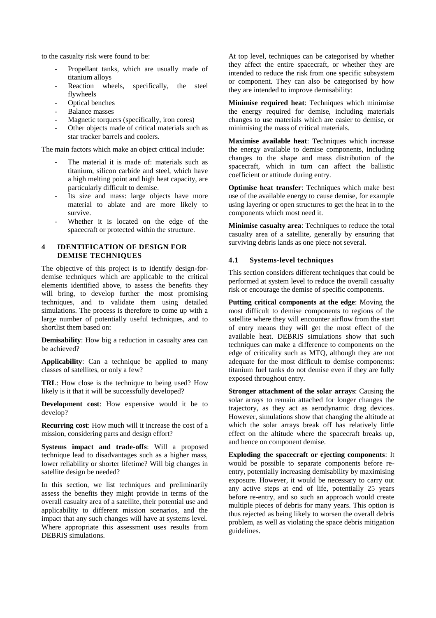to the casualty risk were found to be:

- Propellant tanks, which are usually made of titanium alloys
- Reaction wheels, specifically, the steel flywheels
- Optical benches
- Balance masses
- Magnetic torquers (specifically, iron cores)
- Other objects made of critical materials such as star tracker barrels and coolers.

The main factors which make an object critical include:

- The material it is made of: materials such as titanium, silicon carbide and steel, which have a high melting point and high heat capacity, are particularly difficult to demise.
- Its size and mass: large objects have more material to ablate and are more likely to survive.
- Whether it is located on the edge of the spacecraft or protected within the structure.

#### **4 IDENTIFICATION OF DESIGN FOR DEMISE TECHNIQUES**

The objective of this project is to identify design-fordemise techniques which are applicable to the critical elements identified above, to assess the benefits they will bring, to develop further the most promising techniques, and to validate them using detailed simulations. The process is therefore to come up with a large number of potentially useful techniques, and to shortlist them based on:

**Demisability**: How big a reduction in casualty area can be achieved?

**Applicability**: Can a technique be applied to many classes of satellites, or only a few?

**TRL**: How close is the technique to being used? How likely is it that it will be successfully developed?

**Development cost**: How expensive would it be to develop?

**Recurring cost**: How much will it increase the cost of a mission, considering parts and design effort?

**Systems impact and trade-offs**: Will a proposed technique lead to disadvantages such as a higher mass, lower reliability or shorter lifetime? Will big changes in satellite design be needed?

In this section, we list techniques and preliminarily assess the benefits they might provide in terms of the overall casualty area of a satellite, their potential use and applicability to different mission scenarios, and the impact that any such changes will have at systems level. Where appropriate this assessment uses results from DEBRIS simulations.

At top level, techniques can be categorised by whether they affect the entire spacecraft, or whether they are intended to reduce the risk from one specific subsystem or component. They can also be categorised by how they are intended to improve demisability:

**Minimise required heat**: Techniques which minimise the energy required for demise, including materials changes to use materials which are easier to demise, or minimising the mass of critical materials.

**Maximise available heat**: Techniques which increase the energy available to demise components, including changes to the shape and mass distribution of the spacecraft, which in turn can affect the ballistic coefficient or attitude during entry.

**Optimise heat transfer**: Techniques which make best use of the available energy to cause demise, for example using layering or open structures to get the heat in to the components which most need it.

**Minimise casualty area**: Techniques to reduce the total casualty area of a satellite, generally by ensuring that surviving debris lands as one piece not several.

#### **4.1 Systems-level techniques**

This section considers different techniques that could be performed at system level to reduce the overall casualty risk or encourage the demise of specific components.

**Putting critical components at the edge**: Moving the most difficult to demise components to regions of the satellite where they will encounter airflow from the start of entry means they will get the most effect of the available heat. DEBRIS simulations show that such techniques can make a difference to components on the edge of criticality such as MTQ, although they are not adequate for the most difficult to demise components: titanium fuel tanks do not demise even if they are fully exposed throughout entry.

**Stronger attachment of the solar arrays**: Causing the solar arrays to remain attached for longer changes the trajectory, as they act as aerodynamic drag devices. However, simulations show that changing the altitude at which the solar arrays break off has relatively little effect on the altitude where the spacecraft breaks up, and hence on component demise.

**Exploding the spacecraft or ejecting components**: It would be possible to separate components before reentry, potentially increasing demisability by maximising exposure. However, it would be necessary to carry out any active steps at end of life, potentially 25 years before re-entry, and so such an approach would create multiple pieces of debris for many years. This option is thus rejected as being likely to worsen the overall debris problem, as well as violating the space debris mitigation guidelines.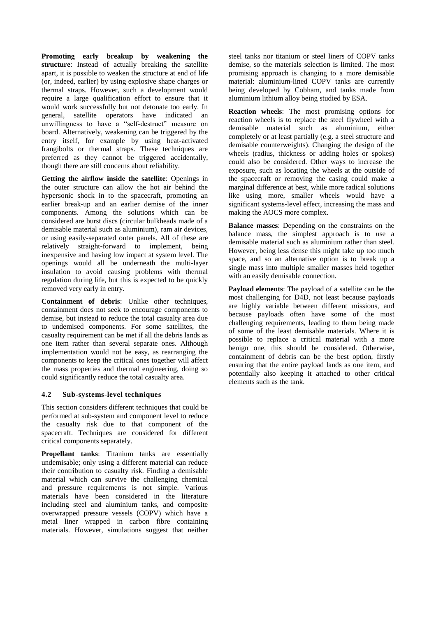**Promoting early breakup by weakening the structure**: Instead of actually breaking the satellite apart, it is possible to weaken the structure at end of life (or, indeed, earlier) by using explosive shape charges or thermal straps. However, such a development would require a large qualification effort to ensure that it would work successfully but not detonate too early. In general, satellite operators have indicated an unwillingness to have a "self-destruct" measure on board. Alternatively, weakening can be triggered by the entry itself, for example by using heat-activated frangibolts or thermal straps. These techniques are preferred as they cannot be triggered accidentally, though there are still concerns about reliability.

**Getting the airflow inside the satellite**: Openings in the outer structure can allow the hot air behind the hypersonic shock in to the spacecraft, promoting an earlier break-up and an earlier demise of the inner components. Among the solutions which can be considered are burst discs (circular bulkheads made of a demisable material such as aluminium), ram air devices, or using easily-separated outer panels. All of these are relatively straight-forward to implement, being inexpensive and having low impact at system level. The openings would all be underneath the multi-layer insulation to avoid causing problems with thermal regulation during life, but this is expected to be quickly removed very early in entry.

**Containment of debris**: Unlike other techniques, containment does not seek to encourage components to demise, but instead to reduce the total casualty area due to undemised components. For some satellites, the casualty requirement can be met if all the debris lands as one item rather than several separate ones. Although implementation would not be easy, as rearranging the components to keep the critical ones together will affect the mass properties and thermal engineering, doing so could significantly reduce the total casualty area.

## **4.2 Sub-systems-level techniques**

This section considers different techniques that could be performed at sub-system and component level to reduce the casualty risk due to that component of the spacecraft. Techniques are considered for different critical components separately.

**Propellant tanks**: Titanium tanks are essentially undemisable; only using a different material can reduce their contribution to casualty risk. Finding a demisable material which can survive the challenging chemical and pressure requirements is not simple. Various materials have been considered in the literature including steel and aluminium tanks, and composite overwrapped pressure vessels (COPV) which have a metal liner wrapped in carbon fibre containing materials. However, simulations suggest that neither steel tanks nor titanium or steel liners of COPV tanks demise, so the materials selection is limited. The most promising approach is changing to a more demisable material: aluminium-lined COPV tanks are currently being developed by Cobham, and tanks made from aluminium lithium alloy being studied by ESA.

**Reaction wheels**: The most promising options for reaction wheels is to replace the steel flywheel with a demisable material such as aluminium, either completely or at least partially (e.g. a steel structure and demisable counterweights). Changing the design of the wheels (radius, thickness or adding holes or spokes) could also be considered. Other ways to increase the exposure, such as locating the wheels at the outside of the spacecraft or removing the casing could make a marginal difference at best, while more radical solutions like using more, smaller wheels would have a significant systems-level effect, increasing the mass and making the AOCS more complex.

**Balance masses**: Depending on the constraints on the balance mass, the simplest approach is to use a demisable material such as aluminium rather than steel. However, being less dense this might take up too much space, and so an alternative option is to break up a single mass into multiple smaller masses held together with an easily demisable connection.

**Payload elements**: The payload of a satellite can be the most challenging for D4D, not least because payloads are highly variable between different missions, and because payloads often have some of the most challenging requirements, leading to them being made of some of the least demisable materials. Where it is possible to replace a critical material with a more benign one, this should be considered. Otherwise, containment of debris can be the best option, firstly ensuring that the entire payload lands as one item, and potentially also keeping it attached to other critical elements such as the tank.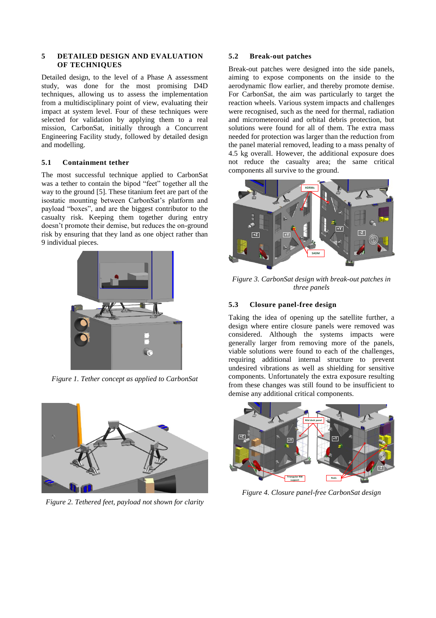#### **5 DETAILED DESIGN AND EVALUATION OF TECHNIQUES**

Detailed design, to the level of a Phase A assessment study, was done for the most promising D4D techniques, allowing us to assess the implementation from a multidisciplinary point of view, evaluating their impact at system level. Four of these techniques were selected for validation by applying them to a real mission, CarbonSat, initially through a Concurrent Engineering Facility study, followed by detailed design and modelling.

## **5.1 Containment tether**

The most successful technique applied to CarbonSat was a tether to contain the bipod "feet" together all the way to the ground [\[5\]](#page-5-4). These titanium feet are part of the isostatic mounting between CarbonSat's platform and payload "boxes", and are the biggest contributor to the casualty risk. Keeping them together during entry doesn't promote their demise, but reduces the on-ground risk by ensuring that they land as one object rather than 9 individual pieces.



*Figure 1. Tether concept as applied to CarbonSat*



*Figure 2. Tethered feet, payload not shown for clarity*

## **5.2 Break-out patches**

Break-out patches were designed into the side panels, aiming to expose components on the inside to the aerodynamic flow earlier, and thereby promote demise. For CarbonSat, the aim was particularly to target the reaction wheels. Various system impacts and challenges were recognised, such as the need for thermal, radiation and micrometeoroid and orbital debris protection, but solutions were found for all of them. The extra mass needed for protection was larger than the reduction from the panel material removed, leading to a mass penalty of 4.5 kg overall. However, the additional exposure does not reduce the casualty area; the same critical components all survive to the ground.



*Figure 3. CarbonSat design with break-out patches in three panels*

# **5.3 Closure panel-free design**

Taking the idea of opening up the satellite further, a design where entire closure panels were removed was considered. Although the systems impacts were generally larger from removing more of the panels, viable solutions were found to each of the challenges, requiring additional internal structure to prevent undesired vibrations as well as shielding for sensitive components. Unfortunately the extra exposure resulting from these changes was still found to be insufficient to demise any additional critical components.



*Figure 4. Closure panel-free CarbonSat design*